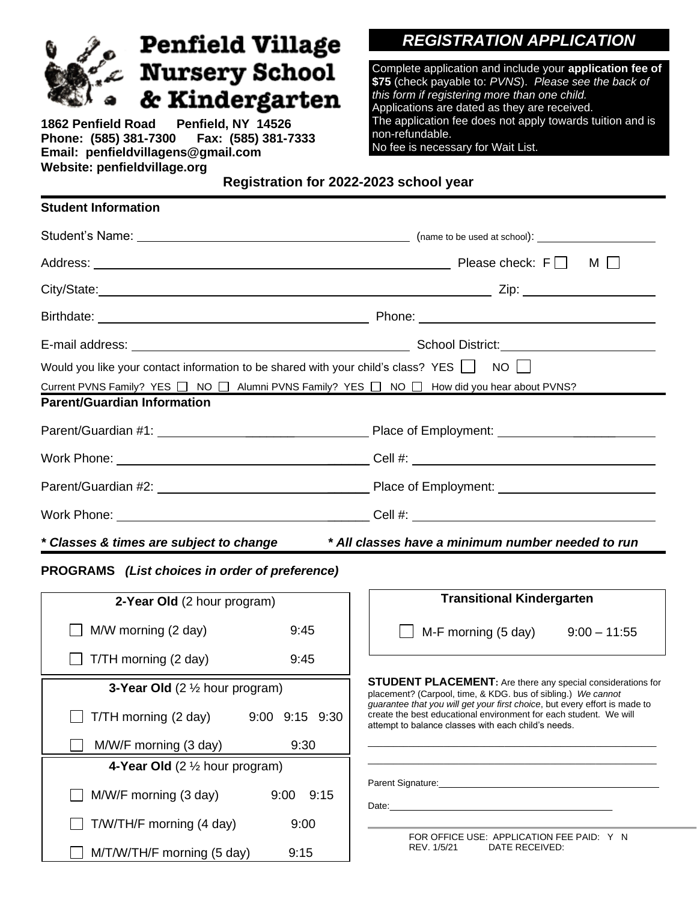| <b>Penfield Village</b>                                                                                                                                                                                        | <b>REGISTRATION APPLICATION</b>                                                                                                                                                                                                                                                                                                          |
|----------------------------------------------------------------------------------------------------------------------------------------------------------------------------------------------------------------|------------------------------------------------------------------------------------------------------------------------------------------------------------------------------------------------------------------------------------------------------------------------------------------------------------------------------------------|
| <b>Bree</b><br>$\int_{\alpha}^{\alpha} x$ Nursery School<br>& Kindergarten<br>๑<br>1862 Penfield Road Penfield, NY 14526<br>Phone: (585) 381-7300    Fax: (585) 381-7333<br>Email: penfieldvillagens@gmail.com | Complete application and include your application fee of<br>\$75 (check payable to: PVNS). Please see the back of<br>this form if registering more than one child.<br>Applications are dated as they are received.<br>The application fee does not apply towards tuition and is<br>non-refundable.<br>No fee is necessary for Wait List. |
| Website: penfieldvillage.org                                                                                                                                                                                   | Registration for 2022-2023 school year                                                                                                                                                                                                                                                                                                   |
| <b>Student Information</b>                                                                                                                                                                                     |                                                                                                                                                                                                                                                                                                                                          |
|                                                                                                                                                                                                                |                                                                                                                                                                                                                                                                                                                                          |
|                                                                                                                                                                                                                |                                                                                                                                                                                                                                                                                                                                          |
|                                                                                                                                                                                                                |                                                                                                                                                                                                                                                                                                                                          |
|                                                                                                                                                                                                                |                                                                                                                                                                                                                                                                                                                                          |
|                                                                                                                                                                                                                |                                                                                                                                                                                                                                                                                                                                          |
| Would you like your contact information to be shared with your child's class? YES $\Box$ NO $\Box$                                                                                                             |                                                                                                                                                                                                                                                                                                                                          |
| Current PVNS Family? YES □ NO □ Alumni PVNS Family? YES □ NO □ How did you hear about PVNS?<br><b>Parent/Guardian Information</b>                                                                              |                                                                                                                                                                                                                                                                                                                                          |
|                                                                                                                                                                                                                |                                                                                                                                                                                                                                                                                                                                          |
|                                                                                                                                                                                                                |                                                                                                                                                                                                                                                                                                                                          |
|                                                                                                                                                                                                                |                                                                                                                                                                                                                                                                                                                                          |
|                                                                                                                                                                                                                |                                                                                                                                                                                                                                                                                                                                          |
| * Classes & times are subject to change                                                                                                                                                                        | * All classes have a minimum number needed to run                                                                                                                                                                                                                                                                                        |
| PROGRAMS (List choices in order of preference)                                                                                                                                                                 |                                                                                                                                                                                                                                                                                                                                          |
|                                                                                                                                                                                                                | <b>Transitional Kindergarten</b>                                                                                                                                                                                                                                                                                                         |
| 2-Year Old (2 hour program)                                                                                                                                                                                    |                                                                                                                                                                                                                                                                                                                                          |
| M/W morning (2 day)<br>9:45                                                                                                                                                                                    | M-F morning (5 day)<br>$9:00 - 11:55$                                                                                                                                                                                                                                                                                                    |
| T/TH morning (2 day)<br>9:45                                                                                                                                                                                   |                                                                                                                                                                                                                                                                                                                                          |
| <b>3-Year Old</b> $(2 \frac{1}{2})$ hour program)                                                                                                                                                              | <b>STUDENT PLACEMENT:</b> Are there any special considerations for<br>placement? (Carpool, time, & KDG. bus of sibling.) We cannot<br>guarantee that you will get your first choice, but every effort is made to                                                                                                                         |
| T/TH morning (2 day)<br>9:00 9:15 9:30                                                                                                                                                                         | create the best educational environment for each student. We will<br>attempt to balance classes with each child's needs.                                                                                                                                                                                                                 |
| M/W/F morning (3 day)<br>9:30                                                                                                                                                                                  |                                                                                                                                                                                                                                                                                                                                          |
| 4-Year Old $(2 \frac{1}{2})$ hour program)                                                                                                                                                                     |                                                                                                                                                                                                                                                                                                                                          |
| M/W/F morning (3 day)<br>9:00<br>9:15                                                                                                                                                                          |                                                                                                                                                                                                                                                                                                                                          |
| T/W/TH/F morning (4 day)<br>9:00                                                                                                                                                                               |                                                                                                                                                                                                                                                                                                                                          |
| M/T/W/TH/F morning (5 day)<br>9:15                                                                                                                                                                             | FOR OFFICE USE: APPLICATION FEE PAID: Y N<br>REV. 1/5/21<br>DATE RECEIVED:                                                                                                                                                                                                                                                               |